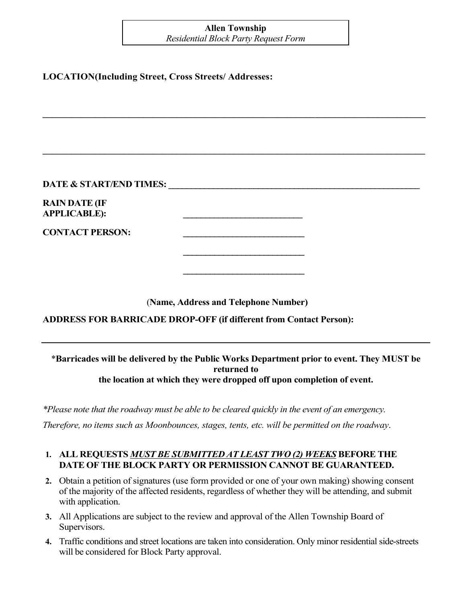# **Allen Township**

*Residential Block Party Request Form*

**\_\_\_\_\_\_\_\_\_\_\_\_\_\_\_\_\_\_\_\_\_\_\_\_\_\_\_\_\_\_\_\_\_\_\_\_\_\_\_\_\_\_\_\_\_\_\_\_\_\_\_\_\_\_\_\_\_\_\_\_\_\_\_\_\_\_\_\_\_\_\_\_\_\_\_\_\_\_\_\_**

**\_\_\_\_\_\_\_\_\_\_\_\_\_\_\_\_\_\_\_\_\_\_\_\_\_\_\_\_\_\_\_\_\_\_\_\_\_\_\_\_\_\_\_\_\_\_\_\_\_\_\_\_\_\_\_\_\_\_\_\_\_\_\_\_\_\_\_\_\_\_\_\_\_\_\_\_\_\_\_\_**

### **LOCATION(Including Street, Cross Streets/ Addresses:**

| <b>DATE &amp; START/END TIMES:</b> |  |
|------------------------------------|--|
|------------------------------------|--|

**RAIN DATE (IF APPLICABLE): \_\_\_\_\_\_\_\_\_\_\_\_\_\_\_\_\_\_\_\_\_\_\_\_\_\_\_**

**CONTACT PERSON: \_\_\_\_\_\_\_\_\_\_\_\_\_\_\_\_\_\_\_\_\_\_\_\_\_\_\_**

(**Name, Address and Telephone Number)**

**\_\_\_\_\_\_\_\_\_\_\_\_\_\_\_\_\_\_\_\_\_\_\_\_\_\_\_**

**\_\_\_\_\_\_\_\_\_\_\_\_\_\_\_\_\_\_\_\_\_\_\_\_\_\_\_**

**ADDRESS FOR BARRICADE DROP-OFF (if different from Contact Person):**

#### \***Barricades will be delivered by the Public Works Department prior to event. They MUST be returned to the location at which they were dropped off upon completion of event.**

*\*Please note that the roadway must be able to be cleared quickly in the event of an emergency.* 

*Therefore, no items such as Moonbounces, stages, tents, etc. will be permitted on the roadway*.

## **1. ALL REQUESTS** *MUST BE SUBMITTED AT LEAST TWO (2) WEEKS* **BEFORE THE DATE OF THE BLOCK PARTY OR PERMISSION CANNOT BE GUARANTEED.**

- **2.** Obtain a petition of signatures (use form provided or one of your own making) showing consent of the majority of the affected residents, regardless of whether they will be attending, and submit with application.
- **3.** All Applications are subject to the review and approval of the Allen Township Board of Supervisors.
- **4.** Traffic conditions and street locations are taken into consideration. Only minor residential side-streets will be considered for Block Party approval.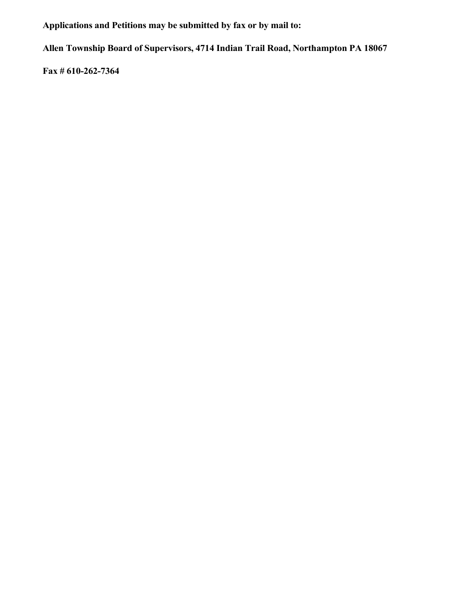**Applications and Petitions may be submitted by fax or by mail to:**

**Allen Township Board of Supervisors, 4714 Indian Trail Road, Northampton PA 18067**

**Fax # 610-262-7364**